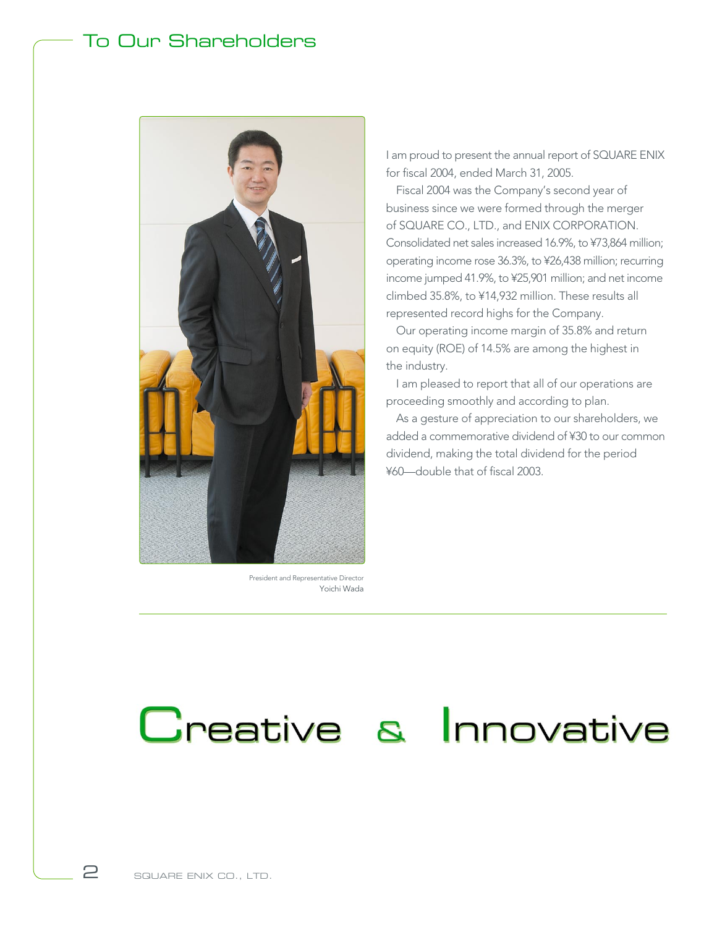### To Our Shareholders



President and Representative Director Yoichi Wada

I am proud to present the annual report of SQUARE ENIX for fiscal 2004, ended March 31, 2005.

Fiscal 2004 was the Company's second year of business since we were formed through the merger of SQUARE CO., LTD., and ENIX CORPORATION. Consolidated net sales increased 16.9%, to ¥73,864 million; operating income rose 36.3%, to ¥26,438 million; recurring income jumped 41.9%, to ¥25,901 million; and net income climbed 35.8%, to ¥14,932 million. These results all represented record highs for the Company.

Our operating income margin of 35.8% and return on equity (ROE) of 14.5% are among the highest in the industry.

I am pleased to report that all of our operations are proceeding smoothly and according to plan.

As a gesture of appreciation to our shareholders, we added a commemorative dividend of ¥30 to our common dividend, making the total dividend for the period ¥60—double that of fiscal 2003.

## Creative & Innovative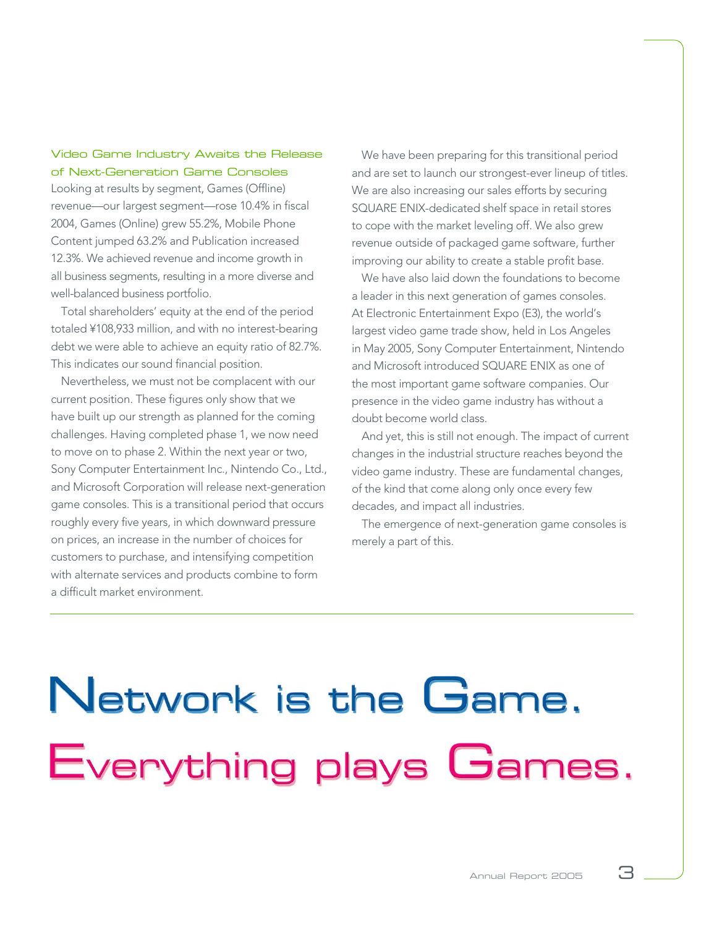#### Video Game Industry Awaits the Release of Next-Generation Game Consoles

Looking at results by segment, Games (Offline) revenue—our largest segment—rose 10.4% in fiscal 2004, Games (Online) grew 55.2%, Mobile Phone Content jumped 63.2% and Publication increased 12.3%. We achieved revenue and income growth in all business segments, resulting in a more diverse and well-balanced business portfolio.

Total shareholders' equity at the end of the period totaled ¥108,933 million, and with no interest-bearing debt we were able to achieve an equity ratio of 82.7%. This indicates our sound financial position.

Nevertheless, we must not be complacent with our current position. These figures only show that we have built up our strength as planned for the coming challenges. Having completed phase 1, we now need to move on to phase 2. Within the next year or two, Sony Computer Entertainment Inc., Nintendo Co., Ltd., and Microsoft Corporation will release next-generation game consoles. This is a transitional period that occurs roughly every five years, in which downward pressure on prices, an increase in the number of choices for customers to purchase, and intensifying competition with alternate services and products combine to form a difficult market environment.

We have been preparing for this transitional period and are set to launch our strongest-ever lineup of titles. We are also increasing our sales efforts by securing SQUARE ENIX-dedicated shelf space in retail stores to cope with the market leveling off. We also grew revenue outside of packaged game software, further improving our ability to create a stable profit base.

We have also laid down the foundations to become a leader in this next generation of games consoles. At Electronic Entertainment Expo (E3), the world's largest video game trade show, held in Los Angeles in May 2005, Sony Computer Entertainment, Nintendo and Microsoft introduced SQUARE ENIX as one of the most important game software companies. Our presence in the video game industry has without a doubt become world class.

And yet, this is still not enough. The impact of current changes in the industrial structure reaches beyond the video game industry. These are fundamental changes, of the kind that come along only once every few decades, and impact all industries.

The emergence of next-generation game consoles is merely a part of this.

# Network is the Game. Everything plays Games.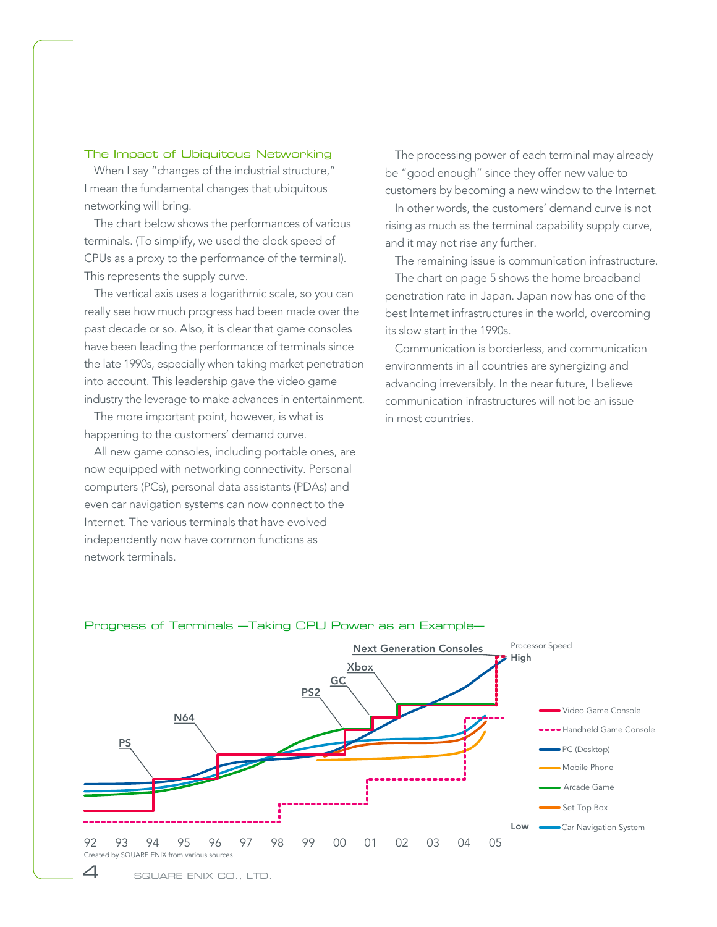#### The Impact of Ubiquitous Networking

When I say "changes of the industrial structure," I mean the fundamental changes that ubiquitous networking will bring.

The chart below shows the performances of various terminals. (To simplify, we used the clock speed of CPUs as a proxy to the performance of the terminal). This represents the supply curve.

The vertical axis uses a logarithmic scale, so you can really see how much progress had been made over the past decade or so. Also, it is clear that game consoles have been leading the performance of terminals since the late 1990s, especially when taking market penetration into account. This leadership gave the video game industry the leverage to make advances in entertainment.

The more important point, however, is what is happening to the customers' demand curve.

All new game consoles, including portable ones, are now equipped with networking connectivity. Personal computers (PCs), personal data assistants (PDAs) and even car navigation systems can now connect to the Internet. The various terminals that have evolved independently now have common functions as network terminals.

The processing power of each terminal may already be "good enough" since they offer new value to customers by becoming a new window to the Internet.

In other words, the customers' demand curve is not rising as much as the terminal capability supply curve, and it may not rise any further.

The remaining issue is communication infrastructure.

The chart on page 5 shows the home broadband penetration rate in Japan. Japan now has one of the best Internet infrastructures in the world, overcoming its slow start in the 1990s.

Communication is borderless, and communication environments in all countries are synergizing and advancing irreversibly. In the near future, I believe communication infrastructures will not be an issue in most countries.



#### Progress of Terminals —Taking CPU Power as an Example—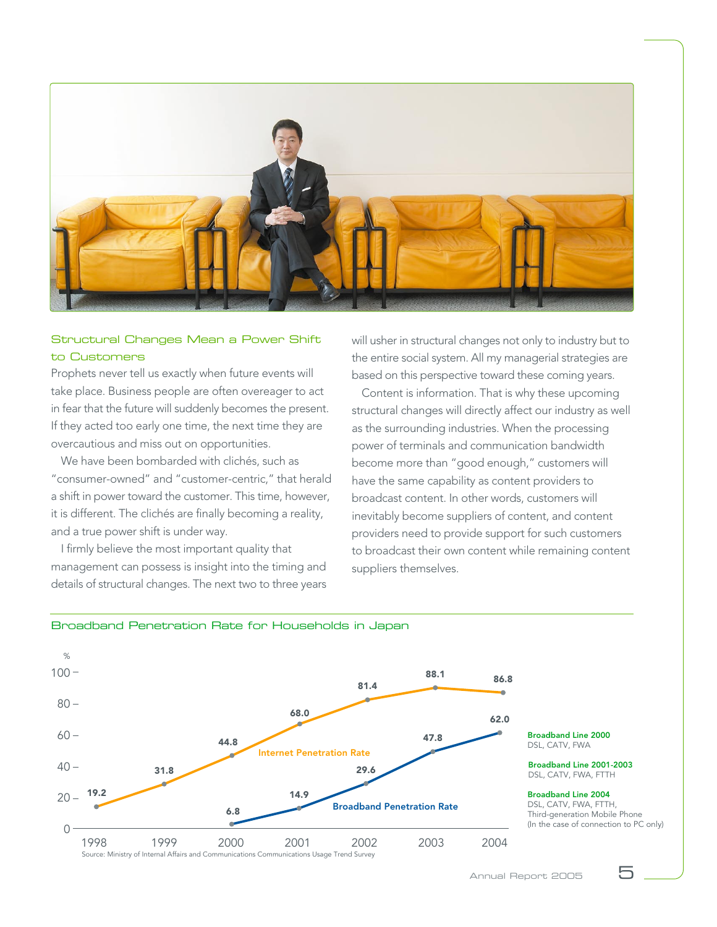

#### Structural Changes Mean a Power Shift to Customers

Prophets never tell us exactly when future events will take place. Business people are often overeager to act in fear that the future will suddenly becomes the present. If they acted too early one time, the next time they are overcautious and miss out on opportunities.

We have been bombarded with clichés, such as "consumer-owned" and "customer-centric," that herald a shift in power toward the customer. This time, however, it is different. The clichés are finally becoming a reality, and a true power shift is under way.

I firmly believe the most important quality that management can possess is insight into the timing and details of structural changes. The next two to three years will usher in structural changes not only to industry but to the entire social system. All my managerial strategies are based on this perspective toward these coming years.

Content is information. That is why these upcoming structural changes will directly affect our industry as well as the surrounding industries. When the processing power of terminals and communication bandwidth become more than "good enough," customers will have the same capability as content providers to broadcast content. In other words, customers will inevitably become suppliers of content, and content providers need to provide support for such customers to broadcast their own content while remaining content suppliers themselves.



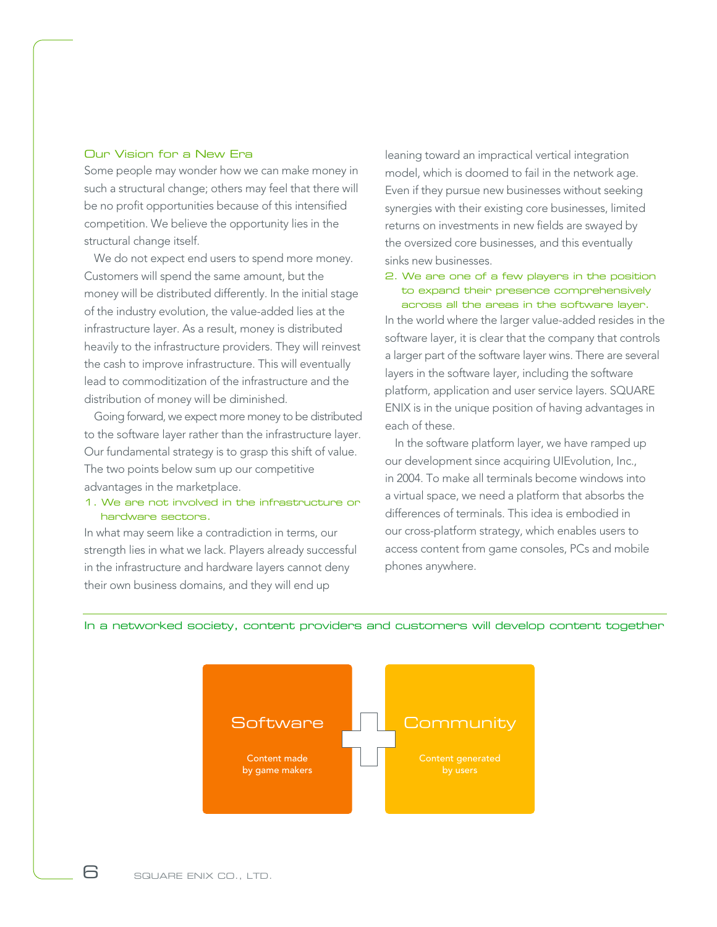#### Our Vision for a New Era

Some people may wonder how we can make money in such a structural change; others may feel that there will be no profit opportunities because of this intensified competition. We believe the opportunity lies in the structural change itself.

We do not expect end users to spend more money. Customers will spend the same amount, but the money will be distributed differently. In the initial stage of the industry evolution, the value-added lies at the infrastructure layer. As a result, money is distributed heavily to the infrastructure providers. They will reinvest the cash to improve infrastructure. This will eventually lead to commoditization of the infrastructure and the distribution of money will be diminished.

Going forward, we expect more money to be distributed to the software layer rather than the infrastructure layer. Our fundamental strategy is to grasp this shift of value. The two points below sum up our competitive advantages in the marketplace.

#### 1. We are not involved in the infrastructure or hardware sectors.

In what may seem like a contradiction in terms, our strength lies in what we lack. Players already successful in the infrastructure and hardware layers cannot deny their own business domains, and they will end up

leaning toward an impractical vertical integration model, which is doomed to fail in the network age. Even if they pursue new businesses without seeking synergies with their existing core businesses, limited returns on investments in new fields are swayed by the oversized core businesses, and this eventually sinks new businesses.

2. We are one of a few players in the position to expand their presence comprehensively across all the areas in the software layer.

In the world where the larger value-added resides in the software layer, it is clear that the company that controls a larger part of the software layer wins. There are several layers in the software layer, including the software platform, application and user service layers. SQUARE ENIX is in the unique position of having advantages in each of these.

In the software platform layer, we have ramped up our development since acquiring UIEvolution, Inc., in 2004. To make all terminals become windows into a virtual space, we need a platform that absorbs the differences of terminals. This idea is embodied in our cross-platform strategy, which enables users to access content from game consoles, PCs and mobile phones anywhere.

In a networked society, content providers and customers will develop content together